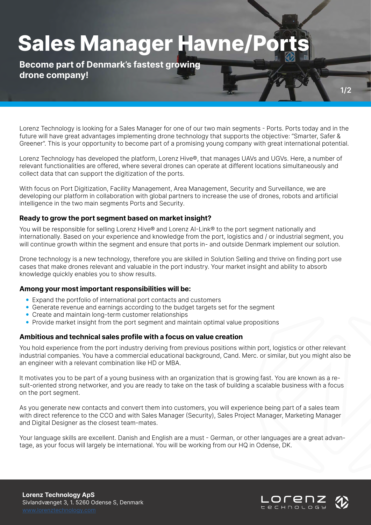## **Sales Manager Havne/P**

**Become part of Denmark's fastest growing drone company!**

Lorenz Technology is looking for a Sales Manager for one of our two main segments - Ports. Ports today and in the future will have great advantages implementing drone technology that supports the objective: "Smarter, Safer & Greener". This is your opportunity to become part of a promising young company with great international potential.

Lorenz Technology has developed the platform, Lorenz Hive®, that manages UAVs and UGVs. Here, a number of relevant functionalities are offered, where several drones can operate at different locations simultaneously and collect data that can support the digitization of the ports.

With focus on Port Digitization, Facility Management, Area Management, Security and Surveillance, we are developing our platform in collaboration with global partners to increase the use of drones, robots and artificial intelligence in the two main segments Ports and Security.

### **Ready to grow the port segment based on market insight?**

You will be responsible for selling Lorenz Hive® and Lorenz AI-Link® to the port segment nationally and internationally. Based on your experience and knowledge from the port, logistics and / or industrial segment, you will continue growth within the segment and ensure that ports in- and outside Denmark implement our solution.

Drone technology is a new technology, therefore you are skilled in Solution Selling and thrive on finding port use cases that make drones relevant and valuable in the port industry. Your market insight and ability to absorb knowledge quickly enables you to show results.

#### **Among your most important responsibilities will be:**

- Expand the portfolio of international port contacts and customers
- Generate revenue and earnings according to the budget targets set for the segment
- Create and maintain long-term customer relationships
- Provide market insight from the port segment and maintain optimal value propositions

#### **Ambitious and technical sales profile with a focus on value creation**

You hold experience from the port industry deriving from previous positions within port, logistics or other relevant industrial companies. You have a commercial educational background, Cand. Merc. or similar, but you might also be an engineer with a relevant combination like HD or MBA.

It motivates you to be part of a young business with an organization that is growing fast. You are known as a result-oriented strong networker, and you are ready to take on the task of building a scalable business with a focus on the port segment.

As you generate new contacts and convert them into customers, you will experience being part of a sales team with direct reference to the CCO and with Sales Manager (Security), Sales Project Manager, Marketing Manager and Digital Designer as the closest team-mates.

Your language skills are excellent. Danish and English are a must - German, or other languages are a great advantage, as your focus will largely be international. You will be working from our HQ in Odense, DK.

**Lorenz Technology ApS** Sivlandvænget 3, 1. 5260 Odense S, Denmark



**1/2**